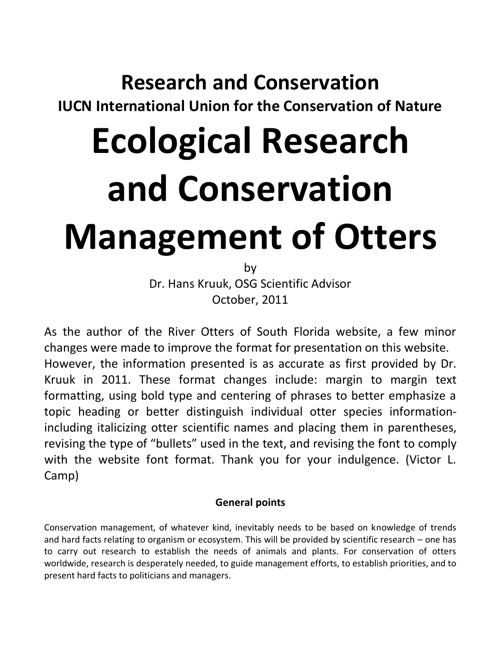# **Research and Conservation**

**IUCN International Union for the Conservation of Nature**

# **Ecological Research and Conservation Management of Otters**

by Dr. Hans Kruuk, OSG Scientific Advisor October, 2011

As the author of the River Otters of South Florida website, a few minor changes were made to improve the format for presentation on this website. However, the information presented is as accurate as first provided by Dr. Kruuk in 2011. These format changes include: margin to margin text formatting, using bold type and centering of phrases to better emphasize a topic heading or better distinguish individual otter species informationincluding italicizing otter scientific names and placing them in parentheses, revising the type of "bullets" used in the text, and revising the font to comply with the website font format. Thank you for your indulgence. (Victor L. Camp)

## **General points**

Conservation management, of whatever kind, inevitably needs to be based on knowledge of trends and hard facts relating to organism or ecosystem. This will be provided by scientific research – one has to carry out research to establish the needs of animals and plants. For conservation of otters worldwide, research is desperately needed, to guide management efforts, to establish priorities, and to present hard facts to politicians and managers.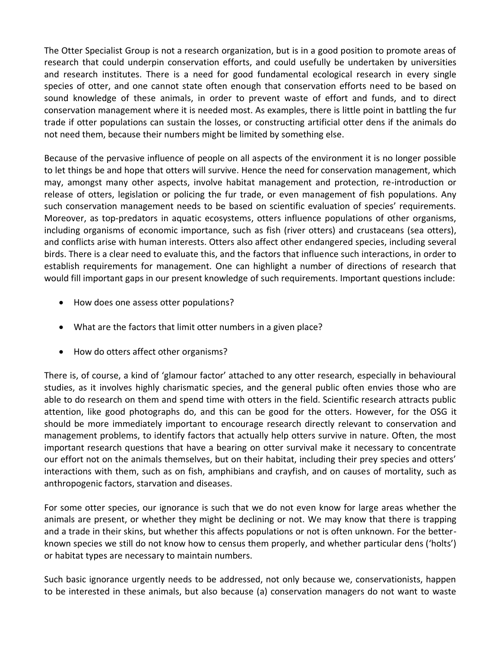The Otter Specialist Group is not a research organization, but is in a good position to promote areas of research that could underpin conservation efforts, and could usefully be undertaken by universities and research institutes. There is a need for good fundamental ecological research in every single species of otter, and one cannot state often enough that conservation efforts need to be based on sound knowledge of these animals, in order to prevent waste of effort and funds, and to direct conservation management where it is needed most. As examples, there is little point in battling the fur trade if otter populations can sustain the losses, or constructing artificial otter dens if the animals do not need them, because their numbers might be limited by something else.

Because of the pervasive influence of people on all aspects of the environment it is no longer possible to let things be and hope that otters will survive. Hence the need for conservation management, which may, amongst many other aspects, involve habitat management and protection, re-introduction or release of otters, legislation or policing the fur trade, or even management of fish populations. Any such conservation management needs to be based on scientific evaluation of species' requirements. Moreover, as top-predators in aquatic ecosystems, otters influence populations of other organisms, including organisms of economic importance, such as fish (river otters) and crustaceans (sea otters), and conflicts arise with human interests. Otters also affect other endangered species, including several birds. There is a clear need to evaluate this, and the factors that influence such interactions, in order to establish requirements for management. One can highlight a number of directions of research that would fill important gaps in our present knowledge of such requirements. Important questions include:

- How does one assess otter populations?
- What are the factors that limit otter numbers in a given place?
- How do otters affect other organisms?

There is, of course, a kind of 'glamour factor' attached to any otter research, especially in behavioural studies, as it involves highly charismatic species, and the general public often envies those who are able to do research on them and spend time with otters in the field. Scientific research attracts public attention, like good photographs do, and this can be good for the otters. However, for the OSG it should be more immediately important to encourage research directly relevant to conservation and management problems, to identify factors that actually help otters survive in nature. Often, the most important research questions that have a bearing on otter survival make it necessary to concentrate our effort not on the animals themselves, but on their habitat, including their prey species and otters' interactions with them, such as on fish, amphibians and crayfish, and on causes of mortality, such as anthropogenic factors, starvation and diseases.

For some otter species, our ignorance is such that we do not even know for large areas whether the animals are present, or whether they might be declining or not. We may know that there is trapping and a trade in their skins, but whether this affects populations or not is often unknown. For the betterknown species we still do not know how to census them properly, and whether particular dens ('holts') or habitat types are necessary to maintain numbers.

Such basic ignorance urgently needs to be addressed, not only because we, conservationists, happen to be interested in these animals, but also because (a) conservation managers do not want to waste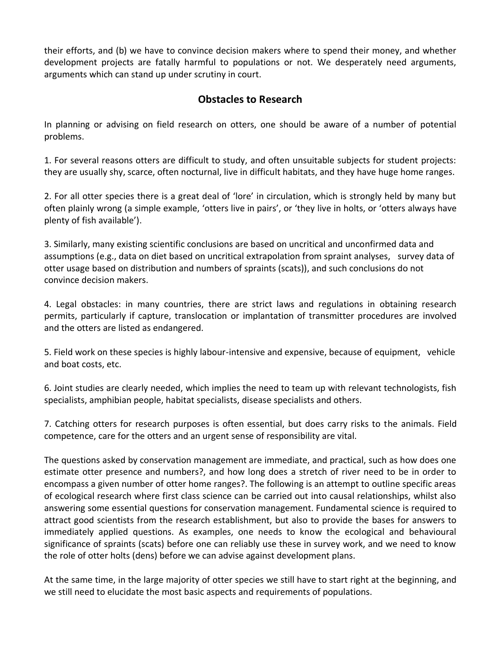their efforts, and (b) we have to convince decision makers where to spend their money, and whether development projects are fatally harmful to populations or not. We desperately need arguments, arguments which can stand up under scrutiny in court.

#### **Obstacles to Research**

In planning or advising on field research on otters, one should be aware of a number of potential problems.

1. For several reasons otters are difficult to study, and often unsuitable subjects for student projects: they are usually shy, scarce, often nocturnal, live in difficult habitats, and they have huge home ranges.

2. For all otter species there is a great deal of 'lore' in circulation, which is strongly held by many but often plainly wrong (a simple example, 'otters live in pairs', or 'they live in holts, or 'otters always have plenty of fish available').

3. Similarly, many existing scientific conclusions are based on uncritical and unconfirmed data and assumptions (e.g., data on diet based on uncritical extrapolation from spraint analyses, survey data of otter usage based on distribution and numbers of spraints (scats)), and such conclusions do not convince decision makers.

4. Legal obstacles: in many countries, there are strict laws and regulations in obtaining research permits, particularly if capture, translocation or implantation of transmitter procedures are involved and the otters are listed as endangered.

5. Field work on these species is highly labour-intensive and expensive, because of equipment, vehicle and boat costs, etc.

6. Joint studies are clearly needed, which implies the need to team up with relevant technologists, fish specialists, amphibian people, habitat specialists, disease specialists and others.

7. Catching otters for research purposes is often essential, but does carry risks to the animals. Field competence, care for the otters and an urgent sense of responsibility are vital.

The questions asked by conservation management are immediate, and practical, such as how does one estimate otter presence and numbers?, and how long does a stretch of river need to be in order to encompass a given number of otter home ranges?. The following is an attempt to outline specific areas of ecological research where first class science can be carried out into causal relationships, whilst also answering some essential questions for conservation management. Fundamental science is required to attract good scientists from the research establishment, but also to provide the bases for answers to immediately applied questions. As examples, one needs to know the ecological and behavioural significance of spraints (scats) before one can reliably use these in survey work, and we need to know the role of otter holts (dens) before we can advise against development plans.

At the same time, in the large majority of otter species we still have to start right at the beginning, and we still need to elucidate the most basic aspects and requirements of populations.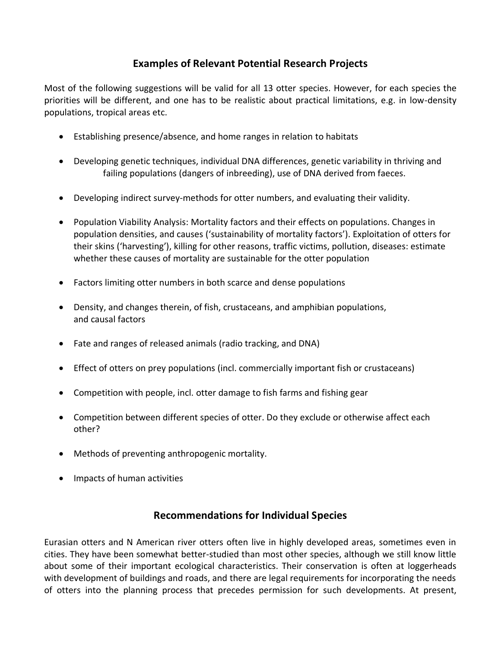### **Examples of Relevant Potential Research Projects**

Most of the following suggestions will be valid for all 13 otter species. However, for each species the priorities will be different, and one has to be realistic about practical limitations, e.g. in low-density populations, tropical areas etc.

- Establishing presence/absence, and home ranges in relation to habitats
- Developing genetic techniques, individual DNA differences, genetic variability in thriving and failing populations (dangers of inbreeding), use of DNA derived from faeces.
- Developing indirect survey-methods for otter numbers, and evaluating their validity.
- Population Viability Analysis: Mortality factors and their effects on populations. Changes in population densities, and causes ('sustainability of mortality factors'). Exploitation of otters for their skins ('harvesting'), killing for other reasons, traffic victims, pollution, diseases: estimate whether these causes of mortality are sustainable for the otter population
- Factors limiting otter numbers in both scarce and dense populations
- Density, and changes therein, of fish, crustaceans, and amphibian populations, and causal factors
- Fate and ranges of released animals (radio tracking, and DNA)
- Effect of otters on prey populations (incl. commercially important fish or crustaceans)
- Competition with people, incl. otter damage to fish farms and fishing gear
- Competition between different species of otter. Do they exclude or otherwise affect each other?
- Methods of preventing anthropogenic mortality.
- Impacts of human activities

#### **Recommendations for Individual Species**

Eurasian otters and N American river otters often live in highly developed areas, sometimes even in cities. They have been somewhat better-studied than most other species, although we still know little about some of their important ecological characteristics. Their conservation is often at loggerheads with development of buildings and roads, and there are legal requirements for incorporating the needs of otters into the planning process that precedes permission for such developments. At present,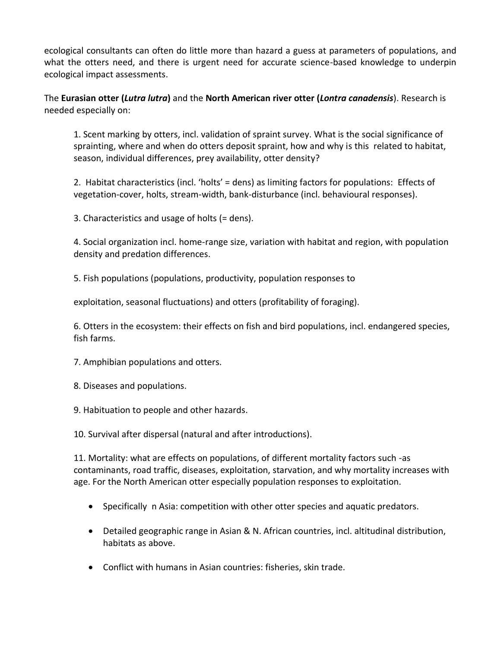ecological consultants can often do little more than hazard a guess at parameters of populations, and what the otters need, and there is urgent need for accurate science-based knowledge to underpin ecological impact assessments.

The **Eurasian otter (***Lutra lutra***)** and the **North American river otter (***Lontra canadensis*). Research is needed especially on:

1. Scent marking by otters, incl. validation of spraint survey. What is the social significance of sprainting, where and when do otters deposit spraint, how and why is this related to habitat, season, individual differences, prey availability, otter density?

2. Habitat characteristics (incl. 'holts' = dens) as limiting factors for populations: Effects of vegetation-cover, holts, stream-width, bank-disturbance (incl. behavioural responses).

3. Characteristics and usage of holts (= dens).

4. Social organization incl. home-range size, variation with habitat and region, with population density and predation differences.

5. Fish populations (populations, productivity, population responses to

exploitation, seasonal fluctuations) and otters (profitability of foraging).

6. Otters in the ecosystem: their effects on fish and bird populations, incl. endangered species, fish farms.

- 7. Amphibian populations and otters.
- 8. Diseases and populations.
- 9. Habituation to people and other hazards.

10. Survival after dispersal (natural and after introductions).

11. Mortality: what are effects on populations, of different mortality factors such -as contaminants, road traffic, diseases, exploitation, starvation, and why mortality increases with age. For the North American otter especially population responses to exploitation.

- Specifically n Asia: competition with other otter species and aquatic predators.
- Detailed geographic range in Asian & N. African countries, incl. altitudinal distribution, habitats as above.
- Conflict with humans in Asian countries: fisheries, skin trade.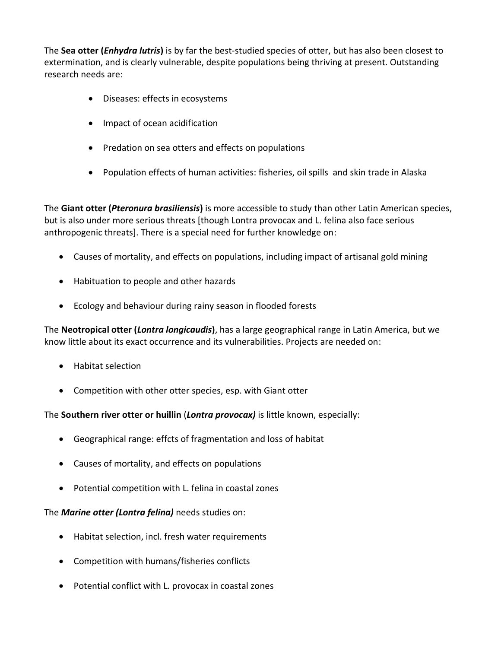The **Sea otter (***Enhydra lutris***)** is by far the best-studied species of otter, but has also been closest to extermination, and is clearly vulnerable, despite populations being thriving at present. Outstanding research needs are:

- Diseases: effects in ecosystems
- Impact of ocean acidification
- Predation on sea otters and effects on populations
- Population effects of human activities: fisheries, oil spills and skin trade in Alaska

The **Giant otter (***Pteronura brasiliensis***)** is more accessible to study than other Latin American species, but is also under more serious threats [though Lontra provocax and L. felina also face serious anthropogenic threats]. There is a special need for further knowledge on:

- Causes of mortality, and effects on populations, including impact of artisanal gold mining
- Habituation to people and other hazards
- Ecology and behaviour during rainy season in flooded forests

The **Neotropical otter (***Lontra longicaudis***)**, has a large geographical range in Latin America, but we know little about its exact occurrence and its vulnerabilities. Projects are needed on:

- Habitat selection
- Competition with other otter species, esp. with Giant otter

The **Southern river otter or huillin** (*Lontra provocax)* is little known, especially:

- Geographical range: effcts of fragmentation and loss of habitat
- Causes of mortality, and effects on populations
- Potential competition with L. felina in coastal zones

The *Marine otter (Lontra felina)* needs studies on:

- Habitat selection, incl. fresh water requirements
- Competition with humans/fisheries conflicts
- Potential conflict with L. provocax in coastal zones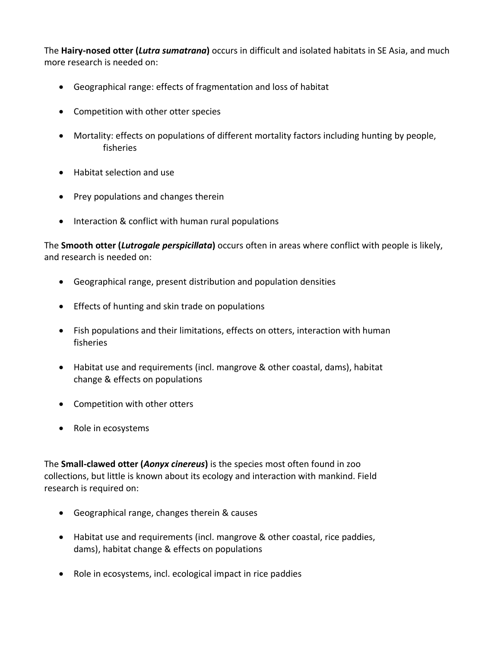The **Hairy-nosed otter (***Lutra sumatrana***)** occurs in difficult and isolated habitats in SE Asia, and much more research is needed on:

- Geographical range: effects of fragmentation and loss of habitat
- Competition with other otter species
- Mortality: effects on populations of different mortality factors including hunting by people, fisheries
- Habitat selection and use
- Prey populations and changes therein
- Interaction & conflict with human rural populations

The **Smooth otter (***Lutrogale perspicillata***)** occurs often in areas where conflict with people is likely, and research is needed on:

- Geographical range, present distribution and population densities
- Effects of hunting and skin trade on populations
- Fish populations and their limitations, effects on otters, interaction with human fisheries
- Habitat use and requirements (incl. mangrove & other coastal, dams), habitat change & effects on populations
- Competition with other otters
- Role in ecosystems

The **Small-clawed otter (***Aonyx cinereus***)** is the species most often found in zoo collections, but little is known about its ecology and interaction with mankind. Field research is required on:

- Geographical range, changes therein & causes
- Habitat use and requirements (incl. mangrove & other coastal, rice paddies, dams), habitat change & effects on populations
- Role in ecosystems, incl. ecological impact in rice paddies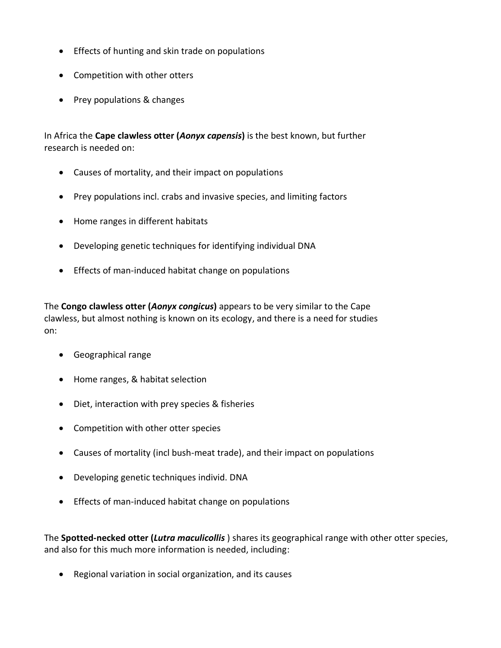- Effects of hunting and skin trade on populations
- Competition with other otters
- Prey populations & changes

In Africa the **Cape clawless otter (***Aonyx capensis***)** is the best known, but further research is needed on:

- Causes of mortality, and their impact on populations
- Prey populations incl. crabs and invasive species, and limiting factors
- Home ranges in different habitats
- Developing genetic techniques for identifying individual DNA
- Effects of man-induced habitat change on populations

The **Congo clawless otter (***Aonyx congicus***)** appears to be very similar to the Cape clawless, but almost nothing is known on its ecology, and there is a need for studies on:

- Geographical range
- Home ranges, & habitat selection
- Diet, interaction with prey species & fisheries
- Competition with other otter species
- Causes of mortality (incl bush-meat trade), and their impact on populations
- Developing genetic techniques individ. DNA
- Effects of man-induced habitat change on populations

The **Spotted-necked otter (***Lutra maculicollis* ) shares its geographical range with other otter species, and also for this much more information is needed, including:

• Regional variation in social organization, and its causes